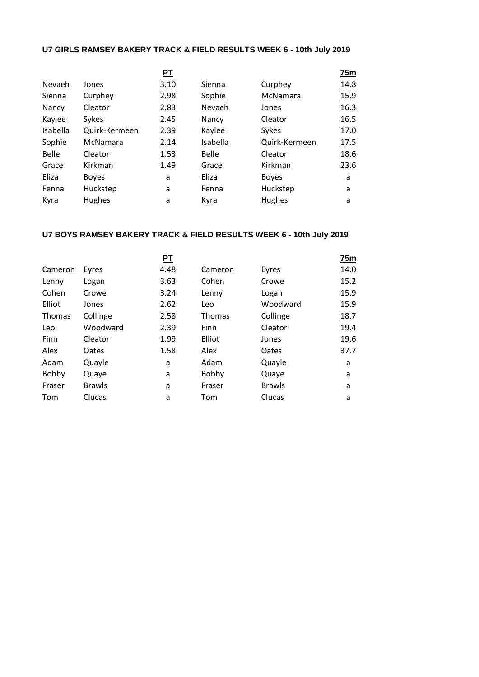## **U7 GIRLS RAMSEY BAKERY TRACK & FIELD RESULTS WEEK 6 - 10th July 2019**

|          |               | <u>PT</u> |              |               | 75m  |
|----------|---------------|-----------|--------------|---------------|------|
| Nevaeh   | Jones         | 3.10      | Sienna       | Curphey       | 14.8 |
| Sienna   | Curphey       | 2.98      | Sophie       | McNamara      | 15.9 |
| Nancy    | Cleator       | 2.83      | Nevaeh       | Jones         | 16.3 |
| Kaylee   | Sykes         | 2.45      | Nancy        | Cleator       | 16.5 |
| Isabella | Quirk-Kermeen | 2.39      | Kaylee       | Sykes         | 17.0 |
| Sophie   | McNamara      | 2.14      | Isabella     | Quirk-Kermeen | 17.5 |
| Belle    | Cleator       | 1.53      | <b>Belle</b> | Cleator       | 18.6 |
| Grace    | Kirkman       | 1.49      | Grace        | Kirkman       | 23.6 |
| Eliza    | <b>Boyes</b>  | a         | Eliza        | <b>Boyes</b>  | a    |
| Fenna    | Huckstep      | a         | Fenna        | Huckstep      | a    |
| Kyra     | Hughes        | a         | Kyra         | <b>Hughes</b> | a    |

## **U7 BOYS RAMSEY BAKERY TRACK & FIELD RESULTS WEEK 6 - 10th July 2019**

|         |               | <u>PT</u> |               |               | 75m  |
|---------|---------------|-----------|---------------|---------------|------|
| Cameron | Eyres         | 4.48      | Cameron       | Eyres         | 14.0 |
| Lenny   | Logan         | 3.63      | Cohen         | Crowe         | 15.2 |
| Cohen   | Crowe         | 3.24      | Lenny         | Logan         | 15.9 |
| Elliot  | Jones         | 2.62      | Leo           | Woodward      | 15.9 |
| Thomas  | Collinge      | 2.58      | <b>Thomas</b> | Collinge      | 18.7 |
| Leo     | Woodward      | 2.39      | Finn          | Cleator       | 19.4 |
| Finn    | Cleator       | 1.99      | Elliot        | Jones         | 19.6 |
| Alex    | Oates         | 1.58      | Alex          | Oates         | 37.7 |
| Adam    | Quayle        | a         | Adam          | Quayle        | a    |
| Bobby   | Quaye         | a         | Bobby         | Quaye         | a    |
| Fraser  | <b>Brawls</b> | a         | Fraser        | <b>Brawls</b> | a    |
| Tom     | Clucas        | a         | Tom           | Clucas        | a    |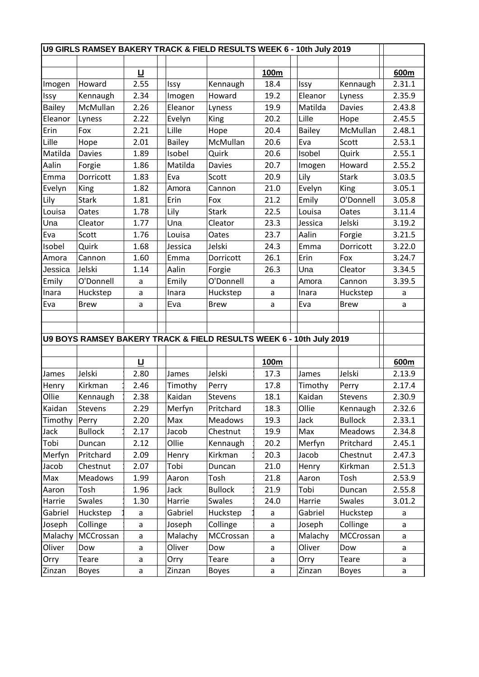| U9 GIRLS RAMSEY BAKERY TRACK & FIELD RESULTS WEEK 6 - 10th July 2019 |                                                                     |        |               |                |      |               |                |        |
|----------------------------------------------------------------------|---------------------------------------------------------------------|--------|---------------|----------------|------|---------------|----------------|--------|
|                                                                      |                                                                     |        |               |                |      |               |                |        |
|                                                                      |                                                                     | 旦      |               |                | 100m |               |                | 600m   |
| Imogen                                                               | Howard                                                              | 2.55   | Issy          | Kennaugh       | 18.4 | Issy          | Kennaugh       | 2.31.1 |
| Issy                                                                 | Kennaugh                                                            | 2.34   | Imogen        | Howard         | 19.2 | Eleanor       | Lyness         | 2.35.9 |
| <b>Bailey</b>                                                        | McMullan                                                            | 2.26   | Eleanor       | Lyness         | 19.9 | Matilda       | <b>Davies</b>  | 2.43.8 |
| Eleanor                                                              | Lyness                                                              | 2.22   | Evelyn        | King           | 20.2 | Lille         | Hope           | 2.45.5 |
| Erin                                                                 | Fox                                                                 | 2.21   | Lille         | Hope           | 20.4 | <b>Bailey</b> | McMullan       | 2.48.1 |
| Lille                                                                | Hope                                                                | 2.01   | <b>Bailey</b> | McMullan       | 20.6 | Eva           | Scott          | 2.53.1 |
| Matilda                                                              | <b>Davies</b>                                                       | 1.89   | Isobel        | Quirk          | 20.6 | Isobel        | Quirk          | 2.55.1 |
| Aalin                                                                | Forgie                                                              | 1.86   | Matilda       | <b>Davies</b>  | 20.7 | Imogen        | Howard         | 2.55.2 |
| Emma                                                                 | Dorricott                                                           | 1.83   | Eva           | Scott          | 20.9 | Lily          | <b>Stark</b>   | 3.03.5 |
| Evelyn                                                               | King                                                                | 1.82   | Amora         | Cannon         | 21.0 | Evelyn        | King           | 3.05.1 |
| Lily                                                                 | <b>Stark</b>                                                        | 1.81   | Erin          | Fox            | 21.2 | Emily         | O'Donnell      | 3.05.8 |
| Louisa                                                               | Oates                                                               | 1.78   | Lily          | <b>Stark</b>   | 22.5 | Louisa        | Oates          | 3.11.4 |
| Una                                                                  | Cleator                                                             | 1.77   | Una           | Cleator        | 23.3 | Jessica       | Jelski         | 3.19.2 |
| Eva                                                                  | Scott                                                               | 1.76   | Louisa        | Oates          | 23.7 | Aalin         | Forgie         | 3.21.5 |
| Isobel                                                               | Quirk                                                               | 1.68   | Jessica       | Jelski         | 24.3 | Emma          | Dorricott      | 3.22.0 |
| Amora                                                                | Cannon                                                              | 1.60   | Emma          | Dorricott      | 26.1 | Erin          | Fox            | 3.24.7 |
| Jessica                                                              | Jelski                                                              | 1.14   | Aalin         | Forgie         | 26.3 | Una           | Cleator        | 3.34.5 |
| Emily                                                                | O'Donnell                                                           | a      | Emily         | O'Donnell      | a    | Amora         | Cannon         | 3.39.5 |
| Inara                                                                | Huckstep                                                            | a      | Inara         | Huckstep       | a    | Inara         | Huckstep       | a      |
| Eva                                                                  | <b>Brew</b>                                                         | a      | Eva           | <b>Brew</b>    | a    | Eva           | <b>Brew</b>    | a      |
|                                                                      |                                                                     |        |               |                |      |               |                |        |
|                                                                      |                                                                     |        |               |                |      |               |                |        |
|                                                                      | U9 BOYS RAMSEY BAKERY TRACK & FIELD RESULTS WEEK 6 - 10th July 2019 |        |               |                |      |               |                |        |
|                                                                      |                                                                     |        |               |                |      |               |                |        |
|                                                                      |                                                                     | 旦      |               |                | 100m |               |                | 600m   |
| James                                                                | Jelski                                                              | 2.80   | James         | Jelski         | 17.3 | James         | Jelski         | 2.13.9 |
| Henry                                                                | Kirkman                                                             | 2.46   | Timothy       | Perry          | 17.8 | Timothy       | Perry          | 2.17.4 |
| Ollie                                                                | Kennaugh                                                            | 2.38   | Kaidan        | Stevens        | 18.1 | Kaidan        | Stevens        | 2.30.9 |
| Kaidan                                                               | <b>Stevens</b>                                                      | 2.29   | Merfyn        | Pritchard      | 18.3 | Ollie         | Kennaugh       | 2.32.6 |
| Timothy                                                              | Perry                                                               | 2.20   | Max           | Meadows        | 19.3 | Jack          | <b>Bullock</b> | 2.33.1 |
| Jack                                                                 | <b>Bullock</b>                                                      | 2.17   | Jacob         | Chestnut       | 19.9 | Max           | Meadows        | 2.34.8 |
| Tobi                                                                 | Duncan                                                              | 2.12   | Ollie         | Kennaugh       | 20.2 | Merfyn        | Pritchard      | 2.45.1 |
| Merfyn                                                               | Pritchard                                                           | 2.09   | Henry         | Kirkman        | 20.3 | Jacob         | Chestnut       | 2.47.3 |
| Jacob                                                                | Chestnut                                                            | 2.07   | Tobi          | Duncan         | 21.0 | Henry         | Kirkman        | 2.51.3 |
| Max                                                                  | Meadows                                                             | 1.99   | Aaron         | Tosh           | 21.8 | Aaron         | Tosh           | 2.53.9 |
| Aaron                                                                | Tosh                                                                | 1.96   | Jack          | <b>Bullock</b> | 21.9 | Tobi          | Duncan         | 2.55.8 |
| Harrie                                                               | Swales                                                              | 1.30   | Harrie        | Swales         | 24.0 | Harrie        | Swales         | 3.01.2 |
| Gabriel                                                              | Huckstep                                                            | a      | Gabriel       | Huckstep       | a    | Gabriel       | Huckstep       | a      |
| Joseph                                                               | Collinge                                                            | a      | Joseph        | Collinge       | a    | Joseph        | Collinge       | a      |
| Malachy                                                              | MCCrossan                                                           |        | Malachy       | MCCrossan      | a    | Malachy       | MCCrossan      |        |
| Oliver                                                               | Dow                                                                 | a<br>a | Oliver        | Dow            | a    | Oliver        | Dow            | a<br>a |
| Orry                                                                 | Teare                                                               |        |               | Teare          |      |               | Teare          |        |
|                                                                      |                                                                     | a      | Orry          |                | a    | Orry          |                | a      |
| Zinzan                                                               | <b>Boyes</b>                                                        | a      | Zinzan        | <b>Boyes</b>   | a    | Zinzan        | <b>Boyes</b>   | a      |